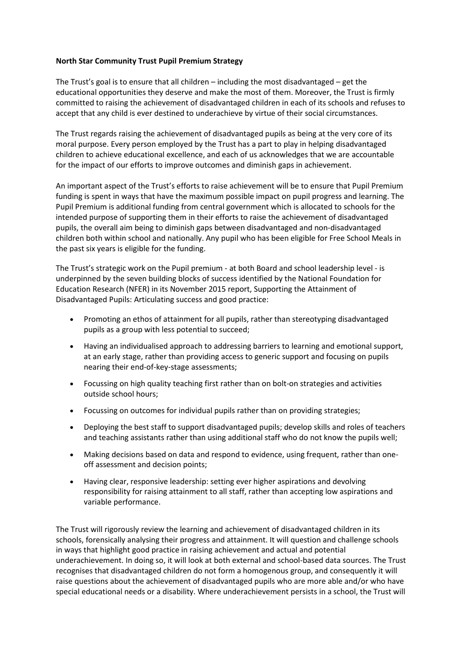## **North Star Community Trust Pupil Premium Strategy**

The Trust's goal is to ensure that all children – including the most disadvantaged – get the educational opportunities they deserve and make the most of them. Moreover, the Trust is firmly committed to raising the achievement of disadvantaged children in each of its schools and refuses to accept that any child is ever destined to underachieve by virtue of their social circumstances.

The Trust regards raising the achievement of disadvantaged pupils as being at the very core of its moral purpose. Every person employed by the Trust has a part to play in helping disadvantaged children to achieve educational excellence, and each of us acknowledges that we are accountable for the impact of our efforts to improve outcomes and diminish gaps in achievement.

An important aspect of the Trust's efforts to raise achievement will be to ensure that Pupil Premium funding is spent in ways that have the maximum possible impact on pupil progress and learning. The Pupil Premium is additional funding from central government which is allocated to schools for the intended purpose of supporting them in their efforts to raise the achievement of disadvantaged pupils, the overall aim being to diminish gaps between disadvantaged and non-disadvantaged children both within school and nationally. Any pupil who has been eligible for Free School Meals in the past six years is eligible for the funding.

The Trust's strategic work on the Pupil premium - at both Board and school leadership level - is underpinned by the seven building blocks of success identified by the National Foundation for Education Research (NFER) in its November 2015 report, Supporting the Attainment of Disadvantaged Pupils: Articulating success and good practice:

- Promoting an ethos of attainment for all pupils, rather than stereotyping disadvantaged pupils as a group with less potential to succeed;
- Having an individualised approach to addressing barriers to learning and emotional support, at an early stage, rather than providing access to generic support and focusing on pupils nearing their end-of-key-stage assessments;
- Focussing on high quality teaching first rather than on bolt-on strategies and activities outside school hours;
- Focussing on outcomes for individual pupils rather than on providing strategies;
- Deploying the best staff to support disadvantaged pupils; develop skills and roles of teachers and teaching assistants rather than using additional staff who do not know the pupils well;
- Making decisions based on data and respond to evidence, using frequent, rather than oneoff assessment and decision points;
- Having clear, responsive leadership: setting ever higher aspirations and devolving responsibility for raising attainment to all staff, rather than accepting low aspirations and variable performance.

The Trust will rigorously review the learning and achievement of disadvantaged children in its schools, forensically analysing their progress and attainment. It will question and challenge schools in ways that highlight good practice in raising achievement and actual and potential underachievement. In doing so, it will look at both external and school-based data sources. The Trust recognises that disadvantaged children do not form a homogenous group, and consequently it will raise questions about the achievement of disadvantaged pupils who are more able and/or who have special educational needs or a disability. Where underachievement persists in a school, the Trust will